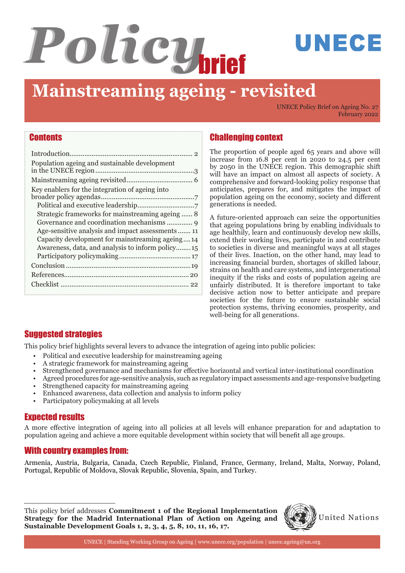# *Policy*brief

## **Mainstreaming ageing - revisited**

UNECE Policy Brief on Ageing No. 27 February 2022

UNECE

#### **Contents**

| Population ageing and sustainable development                                                       |
|-----------------------------------------------------------------------------------------------------|
|                                                                                                     |
| Key enablers for the integration of ageing into<br>Strategic frameworks for mainstreaming ageing 8  |
| Capacity development for mainstreaming ageing14<br>Awareness, data, and analysis to inform policy15 |
|                                                                                                     |
|                                                                                                     |
|                                                                                                     |

### Challenging context

The proportion of people aged 65 years and above will increase from 16.8 per cent in 2020 to 24.5 per cent by 2050 in the UNECE region. This demographic shift will have an impact on almost all aspects of society. A comprehensive and forward-looking policy response that anticipates, prepares for, and mitigates the impact of population ageing on the economy, society and different generations is needed.

A future-oriented approach can seize the opportunities that ageing populations bring by enabling individuals to age healthily, learn and continuously develop new skills, extend their working lives, participate in and contribute to societies in diverse and meaningful ways at all stages of their lives. Inaction, on the other hand, may lead to increasing financial burden, shortages of skilled labour, strains on health and care systems, and intergenerational inequity if the risks and costs of population ageing are unfairly distributed. It is therefore important to take decisive action now to better anticipate and prepare societies for the future to ensure sustainable social protection systems, thriving economies, prosperity, and well-being for all generations.

### **Suggested strategies**

This policy brief highlights several levers to advance the integration of ageing into public policies:

- Political and executive leadership for mainstreaming ageing
- A strategic framework for mainstreaming ageing
- Strengthened governance and mechanisms for effective horizontal and vertical inter-institutional coordination
- Agreed procedures for age-sensitive analysis, such as regulatory impact assessments and age-responsive budgeting
- Strengthened capacity for mainstreaming ageing
- Enhanced awareness, data collection and analysis to inform policy
- Participatory policymaking at all levels

#### **Expected results**

A more effective integration of ageing into all policies at all levels will enhance preparation for and adaptation to population ageing and achieve a more equitable development within society that will benefit all age groups.

#### With country examples from:

Armenia, Austria, Bulgaria, Canada, Czech Republic, Finland, France, Germany, Ireland, Malta, Norway, Poland, Portugal, Republic of Moldova, Slovak Republic, Slovenia, Spain, and Turkey.

This policy brief addresses **Commitment 1 of the Regional Implementation**<br>**Strategy for the Madrid International Plan of Action on Ageing and Willem** United Nations **Sustainable Development Goals 1, 2, 3, 4, 5, 8, 10, 11, 16, 17.**

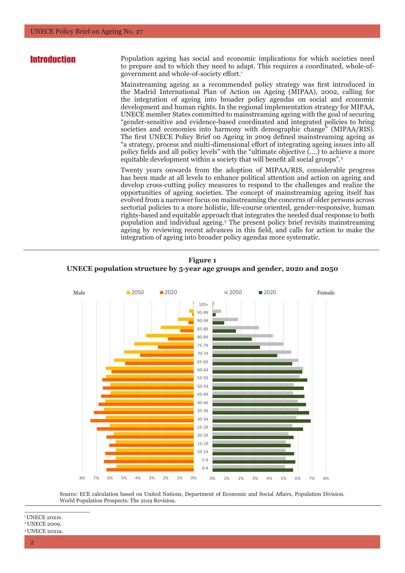**Introduction** Population ageing has social and economic implications for which societies need to prepare and to which they need to adapt. This requires a coordinated, whole-ofgovernment and whole-of-society effort.<sup>1</sup>

> Mainstreaming ageing as a recommended policy strategy was first introduced in the Madrid International Plan of Action on Ageing (MIPAA), 2002, calling for the integration of ageing into broader policy agendas on social and economic development and human rights. In the regional implementation strategy for MIPAA, UNECE member States committed to mainstreaming ageing with the goal of securing "gender-sensitive and evidence-based coordinated and integrated policies to bring societies and economies into harmony with demographic change" (MIPAA/RIS). The first UNECE Policy Brief on Ageing in 2009 defined mainstreaming ageing as "a strategy, process and multi-dimensional effort of integrating ageing issues into all policy fields and all policy levels" with the "ultimate objective (….) to achieve a more equitable development within a society that will benefit all social groups".<sup>2</sup>

> Twenty years onwards from the adoption of MIPAA/RIS, considerable progress has been made at all levels to enhance political attention and action on ageing and develop cross-cutting policy measures to respond to the challenges and realize the opportunities of ageing societies. The concept of mainstreaming ageing itself has evolved from a narrower focus on mainstreaming the concerns of older persons across sectorial policies to a more holistic, life-course oriented, gender-responsive, human rights-based and equitable approach that integrates the needed dual response to both population and individual ageing.3 The present policy brief revisits mainstreaming ageing by reviewing recent advances in this field, and calls for action to make the integration of ageing into broader policy agendas more systematic.





Source: ECE calculation based on United Nations, Department of Economic and Social Affairs, Population Division. 10-14 World Population Prospects: The 2019 Revision. 5-9

\_\_\_\_\_\_\_\_\_\_\_\_\_\_\_ <sup>1</sup> UNECE 2021e. <sup>2</sup> UNECE 2009. 8% 7% 6% 5% 4% 3% 2% 1% 0%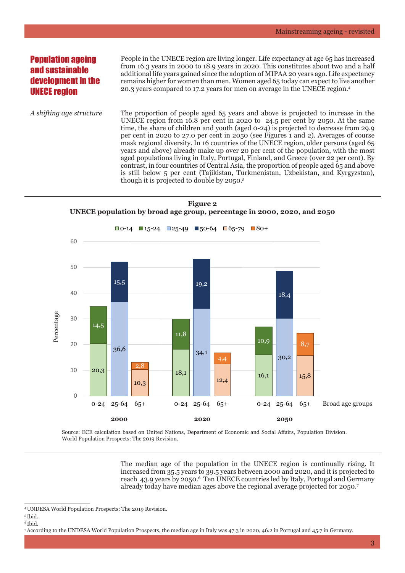#### **Population ageing** and sustainable development in the UNECE region

People in the UNECE region are living longer. Life expectancy at age 65 has increased from 16.3 years in 2000 to 18.9 years in 2020. This constitutes about two and a half additional life years gained since the adoption of MIPAA 20 years ago. Life expectancy remains higher for women than men. Women aged 65 today can expect to live another 20.3 years compared to 17.2 years for men on average in the UNECE region.4

*A shifting age structure* The proportion of people aged 65 years and above is projected to increase in the UNECE region from 16.8 per cent in 2020 to 24.5 per cent by 2050. At the same time, the share of children and youth (aged 0-24) is projected to decrease from 29.9 per cent in 2020 to 27.0 per cent in 2050 (see Figures 1 and 2). Averages of course mask regional diversity. In 16 countries of the UNECE region, older persons (aged 65 years and above) already make up over 20 per cent of the population, with the most aged populations living in Italy, Portugal, Finland, and Greece (over 22 per cent). By contrast, in four countries of Central Asia, the proportion of people aged 65 and above is still below 5 per cent (Tajikistan, Turkmenistan, Uzbekistan, and Kyrgyzstan), though it is projected to double by 2050.<sup>5</sup>





Source: ECE calculation based on United Nations, Department of Economic and Social Affairs, Population Division. World Population Prospects: The 2019 Revision.

> The median age of the population in the UNECE region is continually rising. It increased from 35.5 years to 39.5 years between 2000 and 2020, and it is projected to reach 43.9 years by 2050.6 Ten UNECE countries led by Italy, Portugal and Germany already today have median ages above the regional average projected for 2050.<sup>7</sup>

<sup>4</sup> UNDESA World Population Prospects: The 2019 Revision.

<sup>5</sup> Ibid. 6 Ibid.

<sup>7</sup> According to the UNDESA World Population Prospects, the median age in Italy was 47.3 in 2020, 46.2 in Portugal and 45.7 in Germany.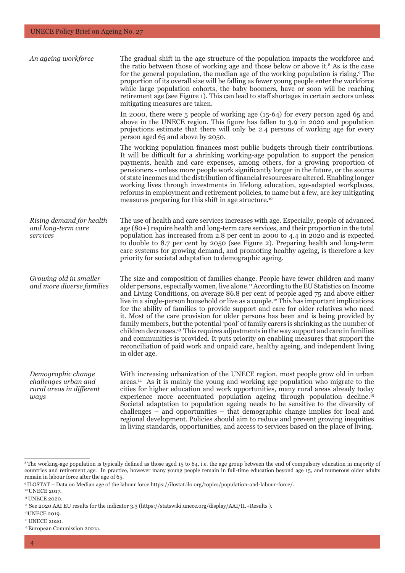| An ageing workforce                                                            | The gradual shift in the age structure of the population impacts the workforce and<br>the ratio between those of working age and those below or above it. <sup>8</sup> As is the case<br>for the general population, the median age of the working population is rising. <sup>9</sup> The<br>proportion of its overall size will be falling as fewer young people enter the workforce<br>while large population cohorts, the baby boomers, have or soon will be reaching<br>retirement age (see Figure 1). This can lead to staff shortages in certain sectors unless<br>mitigating measures are taken.                                                                                                                                                                                                                                                                                                                                                              |  |  |
|--------------------------------------------------------------------------------|----------------------------------------------------------------------------------------------------------------------------------------------------------------------------------------------------------------------------------------------------------------------------------------------------------------------------------------------------------------------------------------------------------------------------------------------------------------------------------------------------------------------------------------------------------------------------------------------------------------------------------------------------------------------------------------------------------------------------------------------------------------------------------------------------------------------------------------------------------------------------------------------------------------------------------------------------------------------|--|--|
|                                                                                | In 2000, there were $5$ people of working age $(15-64)$ for every person aged 65 and<br>above in the UNECE region. This figure has fallen to 3.9 in 2020 and population<br>projections estimate that there will only be 2.4 persons of working age for every<br>person aged 65 and above by 2050.                                                                                                                                                                                                                                                                                                                                                                                                                                                                                                                                                                                                                                                                    |  |  |
|                                                                                | The working population finances most public budgets through their contributions.<br>It will be difficult for a shrinking working-age population to support the pension<br>payments, health and care expenses, among others, for a growing proportion of<br>pensioners - unless more people work significantly longer in the future, or the source<br>of state incomes and the distribution of financial resources are altered. Enabling longer<br>working lives through investments in lifelong education, age-adapted workplaces,<br>reforms in employment and retirement policies, to name but a few, are key mitigating<br>measures preparing for this shift in age structure. <sup>10</sup>                                                                                                                                                                                                                                                                      |  |  |
| Rising demand for health<br>and long-term care<br>services                     | The use of health and care services increases with age. Especially, people of advanced<br>age (80+) require health and long-term care services, and their proportion in the total<br>population has increased from 2.8 per cent in 2000 to 4.4 in 2020 and is expected<br>to double to 8.7 per cent by 2050 (see Figure 2). Preparing health and long-term<br>care systems for growing demand, and promoting healthy ageing, is therefore a key<br>priority for societal adaptation to demographic ageing.                                                                                                                                                                                                                                                                                                                                                                                                                                                           |  |  |
| Growing old in smaller<br>and more diverse families                            | The size and composition of families change. People have fewer children and many<br>older persons, especially women, live alone. <sup>11</sup> According to the EU Statistics on Income<br>and Living Conditions, on average 86.8 per cent of people aged 75 and above either<br>live in a single-person household or live as a couple. <sup>12</sup> This has important implications<br>for the ability of families to provide support and care for older relatives who need<br>it. Most of the care provision for older persons has been and is being provided by<br>family members, but the potential 'pool' of family carers is shrinking as the number of<br>children decreases. <sup>13</sup> This requires adjustments in the way support and care in families<br>and communities is provided. It puts priority on enabling measures that support the<br>reconciliation of paid work and unpaid care, healthy ageing, and independent living<br>in older age. |  |  |
| Demographic change<br>challenges urban and<br>rural areas in different<br>ways | With increasing urbanization of the UNECE region, most people grow old in urban<br>areas. <sup>14</sup> As it is mainly the young and working age population who migrate to the<br>cities for higher education and work opportunities, many rural areas already today<br>experience more accentuated population ageing through population decline. <sup>15</sup><br>Societal adaptation to population ageing needs to be sensitive to the diversity of<br>challenges - and opportunities - that demographic change implies for local and<br>regional development. Policies should aim to reduce and prevent growing inequities<br>in living standards, opportunities, and access to services based on the place of living.                                                                                                                                                                                                                                           |  |  |

<sup>&</sup>lt;sup>8</sup>The working-age population is typically defined as those aged 15 to 64, i.e. the age group between the end of compulsory education in majority of countries and retirement age. In practice, however many young people remain in full-time education beyond age 15, and numerous older adults remain in labour force after the age of 65.

<sup>9</sup> ILOSTAT – Data on Median age of the labour force https://ilostat.ilo.org/topics/population-and-labour-force/.

<sup>&</sup>lt;sup>10</sup> UNECE 2017.

<sup>&</sup>lt;sup>11</sup> UNECE 2020.

<sup>12</sup> See 2020 AAI EU results for the indicator 3.3 (https://statswiki.unece.org/display/AAI/II.+Results ).

<sup>13</sup>UNECE 2019.

<sup>14</sup> UNECE 2020.

<sup>15</sup> European Commission 2021a.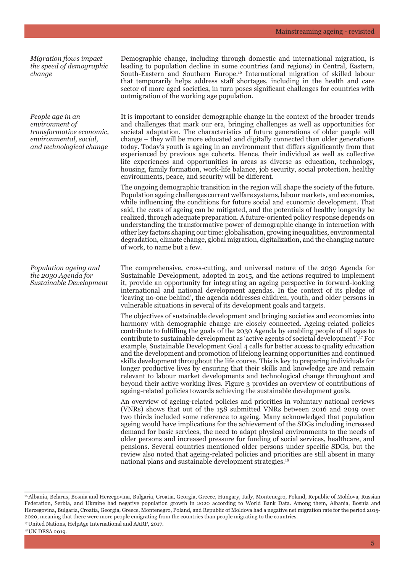*Migration flows impact the speed of demographic change*

*People age in an environment of transformative economic, environmental, social, and technological change*

*Population ageing and the 2030 Agenda for Sustainable Development*

Demographic change, including through domestic and international migration, is leading to population decline in some countries (and regions) in Central, Eastern, South-Eastern and Southern Europe.16 International migration of skilled labour that temporarily helps address staff shortages, including in the health and care sector of more aged societies, in turn poses significant challenges for countries with outmigration of the working age population.

It is important to consider demographic change in the context of the broader trends and challenges that mark our era, bringing challenges as well as opportunities for societal adaptation. The characteristics of future generations of older people will change – they will be more educated and digitally connected than older generations today. Today's youth is ageing in an environment that differs significantly from that experienced by previous age cohorts. Hence, their individual as well as collective life experiences and opportunities in areas as diverse as education, technology, housing, family formation, work-life balance, job security, social protection, healthy environments, peace, and security will be different.

The ongoing demographic transition in the region will shape the society of the future. Population ageing challenges current welfare systems, labour markets, and economies, while influencing the conditions for future social and economic development. That said, the costs of ageing can be mitigated, and the potentials of healthy longevity be realized, through adequate preparation. A future-oriented policy response depends on understanding the transformative power of demographic change in interaction with other key factors shaping our time: globalisation, growing inequalities, environmental degradation, climate change, global migration, digitalization, and the changing nature of work, to name but a few.

The comprehensive, cross-cutting, and universal nature of the 2030 Agenda for Sustainable Development, adopted in 2015, and the actions required to implement it, provide an opportunity for integrating an ageing perspective in forward-looking international and national development agendas. In the context of its pledge of 'leaving no-one behind', the agenda addresses children, youth, and older persons in vulnerable situations in several of its development goals and targets.

The objectives of sustainable development and bringing societies and economies into harmony with demographic change are closely connected. Ageing-related policies contribute to fulfilling the goals of the 2030 Agenda by enabling people of all ages to contribute to sustainable development as 'active agents of societal development'.17 For example, Sustainable Development Goal 4 calls for better access to quality education and the development and promotion of lifelong learning opportunities and continued skills development throughout the life course. This is key to preparing individuals for longer productive lives by ensuring that their skills and knowledge are and remain relevant to labour market developments and technological change throughout and beyond their active working lives. Figure 3 provides an overview of contributions of ageing-related policies towards achieving the sustainable development goals.

An overview of ageing-related policies and priorities in voluntary national reviews (VNRs) shows that out of the 158 submitted VNRs between 2016 and 2019 over two thirds included some reference to ageing. Many acknowledged that population ageing would have implications for the achievement of the SDGs including increased demand for basic services, the need to adapt physical environments to the needs of older persons and increased pressure for funding of social services, healthcare, and pensions. Several countries mentioned older persons under specific SDGs, but the review also noted that ageing-related policies and priorities are still absent in many national plans and sustainable development strategies.<sup>18</sup>

<sup>&</sup>lt;sup>16</sup> Albania, Belarus, Bosnia and Herzegovina, Bulgaria, Croatia, Georgia, Greece, Hungary, Italy, Montenegro, Poland, Republic of Moldova, Russian Federation, Serbia, and Ukraine had negative population growth in 2020 according to World Bank Data. Among them, Albania, Bosnia and Herzegovina, Bulgaria, Croatia, Georgia, Greece, Montenegro, Poland, and Republic of Moldova had a negative net migration rate for the period 2015- 2020, meaning that there were more people emigrating from the countries than people migrating to the countries.

<sup>17</sup> United Nations, HelpAge International and AARP, 2017.

<sup>18</sup> UN DESA 2019.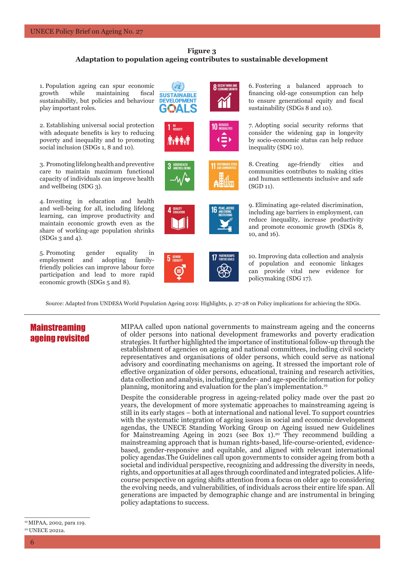#### **Figure 3 Adaptation to population ageing contributes to sustainable development**

1. Population ageing can spur economic growth while maintaining fiscal **SUSTAINABLE** sustainability, but policies and behaviour **DEVELOPMENT** play important roles.

2. Establishing universal social protection with adequate benefits is key to reducing poverty and inequality and to promoting social inclusion (SDGs 1, 8 and 10).

3. Promoting lifelong health and preventive care to maintain maximum functional capacity of individuals can improve health and wellbeing (SDG 3).

4. Investing in education and health and well-being for all, including lifelong learning, can improve productivity and maintain economic growth even as the share of working-age population shrinks (SDGs 3 and 4).

5. Promoting gender equality in employment and adopting familyfriendly policies can improve labour force participation and lead to more rapid economic growth (SDGs 5 and 8).











6. Fostering a balanced approach to financing old-age consumption can help to ensure generational equity and fiscal sustainability (SDGs 8 and 10).

7. Adopting social security reforms that consider the widening gap in longevity by socio-economic status can help reduce inequality (SDG 10).

8. Creating age-friendly cities and communities contributes to making cities and human settlements inclusive and safe  $(SGD 11)$ .

9. Eliminating age-related discrimination, including age barriers in employment, can reduce inequality, increase productivity and promote economic growth (SDGs 8, 10, and 16).

10. Improving data collection and analysis of population and economic linkages can provide vital new evidence for policymaking (SDG 17).

Source: Adapted from UNDESA World Population Ageing 2019: Highlights, p. 27-28 on Policy implications for achieving the SDGs.

#### **Mainstreaming** ageing revisited

MIPAA called upon national governments to mainstream ageing and the concerns of older persons into national development frameworks and poverty eradication strategies. It further highlighted the importance of institutional follow-up through the establishment of agencies on ageing and national committees, including civil society representatives and organisations of older persons, which could serve as national advisory and coordinating mechanisms on ageing. It stressed the important role of effective organization of older persons, educational, training and research activities, data collection and analysis, including gender- and age-specific information for policy planning, monitoring and evaluation for the plan's implementation.19

Despite the considerable progress in ageing-related policy made over the past 20 years, the development of more systematic approaches to mainstreaming ageing is still in its early stages – both at international and national level. To support countries with the systematic integration of ageing issues in social and economic development agendas, the UNECE Standing Working Group on Ageing issued new Guidelines for Mainstreaming Ageing in 2021 (see Box 1).<sup>20</sup> They recommend building a mainstreaming approach that is human rights-based, life-course-oriented, evidencebased, gender-responsive and equitable, and aligned with relevant international policy agendas.The Guidelines call upon governments to consider ageing from both a societal and individual perspective, recognizing and addressing the diversity in needs, rights, and opportunities at all ages through coordinated and integrated policies. A lifecourse perspective on ageing shifts attention from a focus on older age to considering the evolving needs, and vulnerabilities, of individuals across their entire life span. All generations are impacted by demographic change and are instrumental in bringing policy adaptations to success.

 $\overline{\phantom{a}}$  , where  $\overline{\phantom{a}}$  , where  $\overline{\phantom{a}}$  , where  $\overline{\phantom{a}}$ 19 MIPAA, 2002, para 119. <sup>20</sup> UNECE 2021a.

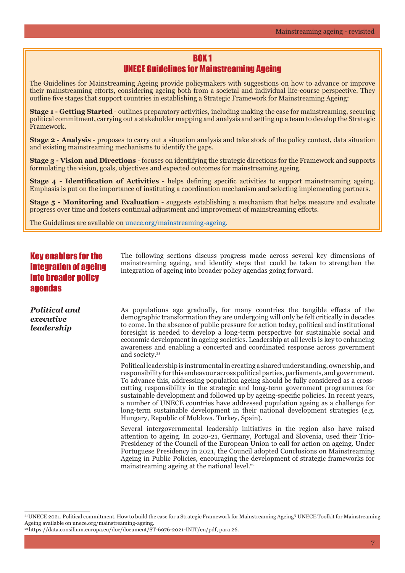## BOX 1

#### UNECE Guidelines for Mainstreaming Ageing

The Guidelines for Mainstreaming Ageing provide policymakers with suggestions on how to advance or improve their mainstreaming efforts, considering ageing both from a societal and individual life-course perspective. They outline five stages that support countries in establishing a Strategic Framework for Mainstreaming Ageing:

**Stage 1 - Getting Started** - outlines preparatory activities, including making the case for mainstreaming, securing political commitment, carrying out a stakeholder mapping and analysis and setting up a team to develop the Strategic Framework.

**Stage 2 - Analysis** - proposes to carry out a situation analysis and take stock of the policy context, data situation and existing mainstreaming mechanisms to identify the gaps.

**Stage 3 - Vision and Directions** - focuses on identifying the strategic directions for the Framework and supports formulating the vision, goals, objectives and expected outcomes for mainstreaming ageing.

**Stage 4 - Identification of Activities** - helps defining specific activities to support mainstreaming ageing. Emphasis is put on the importance of instituting a coordination mechanism and selecting implementing partners.

**Stage 5 - Monitoring and Evaluation** - suggests establishing a mechanism that helps measure and evaluate progress over time and fosters continual adjustment and improvement of mainstreaming efforts.

The Guidelines are available on unece.org/mainstreaming-ageing.

#### Key enablers for the integration of ageing into broader policy agendas

*Political and executive leadership*

\_\_\_\_\_\_\_\_\_\_\_\_\_\_\_

The following sections discuss progress made across several key dimensions of mainstreaming ageing, and identify steps that could be taken to strengthen the integration of ageing into broader policy agendas going forward.

As populations age gradually, for many countries the tangible effects of the demographic transformation they are undergoing will only be felt critically in decades to come. In the absence of public pressure for action today, political and institutional foresight is needed to develop a long-term perspective for sustainable social and economic development in ageing societies. Leadership at all levels is key to enhancing awareness and enabling a concerted and coordinated response across government and society.<sup>21</sup>

Political leadership is instrumental in creating a shared understanding, ownership, and responsibility for this endeavour across political parties, parliaments, and government. To advance this, addressing population ageing should be fully considered as a crosscutting responsibility in the strategic and long-term government programmes for sustainable development and followed up by ageing-specific policies. In recent years, a number of UNECE countries have addressed population ageing as a challenge for long-term sustainable development in their national development strategies (e.g. Hungary, Republic of Moldova, Turkey, Spain).

Several intergovernmental leadership initiatives in the region also have raised attention to ageing. In 2020-21, Germany, Portugal and Slovenia, used their Trio-Presidency of the Council of the European Union to call for action on ageing. Under Portuguese Presidency in 2021, the Council adopted Conclusions on Mainstreaming Ageing in Public Policies, encouraging the development of strategic frameworks for mainstreaming ageing at the national level.<sup>22</sup>

<sup>21</sup> UNECE 2021. Political commitment. How to build the case for a Strategic Framework for Mainstreaming Ageing? UNECE Toolkit for Mainstreaming Ageing available on unece.org/mainstreaming-ageing.

<sup>22</sup> https://data.consilium.europa.eu/doc/document/ST-6976-2021-INIT/en/pdf, para 26.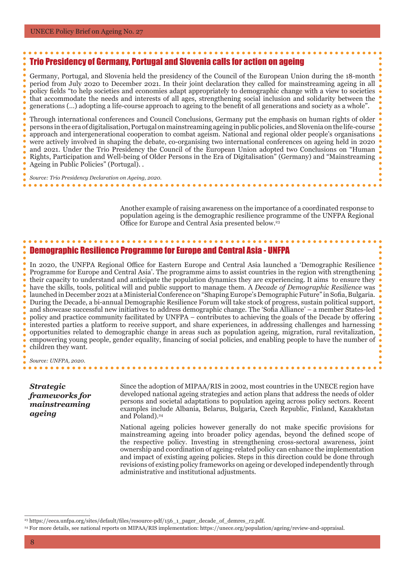#### Trio Presidency of Germany, Portugal and Slovenia calls for action on ageing

Germany, Portugal, and Slovenia held the presidency of the Council of the European Union during the 18-month period from July 2020 to December 2021. In their joint declaration they called for mainstreaming ageing in all policy fields "to help societies and economies adapt appropriately to demographic change with a view to societies that accommodate the needs and interests of all ages, strengthening social inclusion and solidarity between the generations (…) adopting a life-course approach to ageing to the benefit of all generations and society as a whole".

Through international conferences and Council Conclusions, Germany put the emphasis on human rights of older persons in the era of digitalisation, Portugal on mainstreaming ageing in public policies, and Slovenia on the life-course approach and intergenerational cooperation to combat ageism. National and regional older people's organisations were actively involved in shaping the debate, co-organising two international conferences on ageing held in 2020 and 2021. Under the Trio Presidency the Council of the European Union adopted two Conclusions on "Human Rights, Participation and Well-being of Older Persons in the Era of Digitalisation" (Germany) and "Mainstreaming Ageing in Public Policies" (Portugal). .

*Source: Trio Presidency Declaration on Ageing, 2020.*

Another example of raising awareness on the importance of a coordinated response to population ageing is the demographic resilience programme of the UNFPA Regional Office for Europe and Central Asia presented below.<sup>23</sup>

#### Demographic Resilience Programme for Europe and Central Asia - UNFPA

In 2020, the UNFPA Regional Office for Eastern Europe and Central Asia launched a 'Demographic Resilience Programme for Europe and Central Asia'. The programme aims to assist countries in the region with strengthening their capacity to understand and anticipate the population dynamics they are experiencing. It aims to ensure they have the skills, tools, political will and public support to manage them. A *Decade of Demographic Resilience* was launched in December 2021 at a Ministerial Conference on "Shaping Europe's Demographic Future" in Sofia, Bulgaria. During the Decade, a bi-annual Demographic Resilience Forum will take stock of progress, sustain political support, and showcase successful new initiatives to address demographic change. The 'Sofia Alliance' – a member States-led policy and practice community facilitated by UNFPA – contributes to achieving the goals of the Decade by offering interested parties a platform to receive support, and share experiences, in addressing challenges and harnessing opportunities related to demographic change in areas such as population ageing, migration, rural revitalization, empowering young people, gender equality, financing of social policies, and enabling people to have the number of children they want.

*Source: UNFPA, 2020.* . . . . . . .

*Strategic frameworks for mainstreaming ageing*

 $\overline{\phantom{a}}$  , where  $\overline{\phantom{a}}$  , where  $\overline{\phantom{a}}$  , where  $\overline{\phantom{a}}$ 

Since the adoption of MIPAA/RIS in 2002, most countries in the UNECE region have developed national ageing strategies and action plans that address the needs of older persons and societal adaptations to population ageing across policy sectors. Recent examples include Albania, Belarus, Bulgaria, Czech Republic, Finland, Kazakhstan and Poland).<sup>24</sup>

National ageing policies however generally do not make specific provisions for mainstreaming ageing into broader policy agendas, beyond the defined scope of the respective policy. Investing in strengthening cross-sectoral awareness, joint ownership and coordination of ageing-related policy can enhance the implementation and impact of existing ageing policies. Steps in this direction could be done through revisions of existing policy frameworks on ageing or developed independently through administrative and institutional adjustments.

<sup>23</sup> https://eeca.unfpa.org/sites/default/files/resource-pdf/156\_1\_pager\_decade\_of\_demres\_r2.pdf.

<sup>24</sup> For more details, see national reports on MIPAA/RIS implementation: https://unece.org/population/ageing/review-and-appraisal.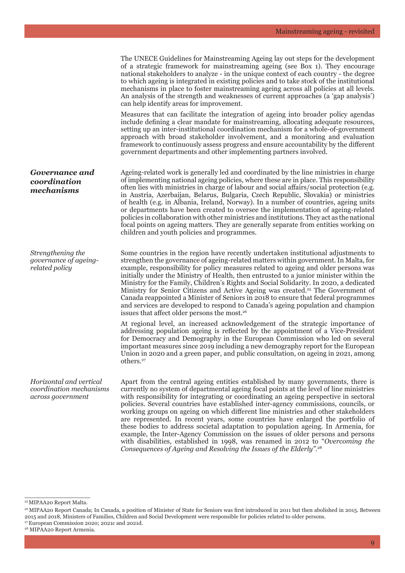|                                                                         | The UNECE Guidelines for Mainstreaming Ageing lay out steps for the development<br>of a strategic framework for mainstreaming ageing (see Box 1). They encourage<br>national stakeholders to analyze - in the unique context of each country - the degree<br>to which ageing is integrated in existing policies and to take stock of the institutional<br>mechanisms in place to foster mainstreaming ageing across all policies at all levels.<br>An analysis of the strength and weaknesses of current approaches (a 'gap analysis')<br>can help identify areas for improvement.                                                                                                                                                                                                                                                                                               |
|-------------------------------------------------------------------------|----------------------------------------------------------------------------------------------------------------------------------------------------------------------------------------------------------------------------------------------------------------------------------------------------------------------------------------------------------------------------------------------------------------------------------------------------------------------------------------------------------------------------------------------------------------------------------------------------------------------------------------------------------------------------------------------------------------------------------------------------------------------------------------------------------------------------------------------------------------------------------|
|                                                                         | Measures that can facilitate the integration of ageing into broader policy agendas<br>include defining a clear mandate for mainstreaming, allocating adequate resources,<br>setting up an inter-institutional coordination mechanism for a whole-of-government<br>approach with broad stakeholder involvement, and a monitoring and evaluation<br>framework to continuously assess progress and ensure accountability by the different<br>government departments and other implementing partners involved.                                                                                                                                                                                                                                                                                                                                                                       |
| <b>Governance and</b><br>coordination<br>mechanisms                     | Ageing-related work is generally led and coordinated by the line ministries in charge<br>of implementing national ageing policies, where these are in place. This responsibility<br>often lies with ministries in charge of labour and social affairs/social protection (e.g.<br>in Austria, Azerbaijan, Belarus, Bulgaria, Czech Republic, Slovakia) or ministries<br>of health (e.g. in Albania, Ireland, Norway). In a number of countries, ageing units<br>or departments have been created to oversee the implementation of ageing-related<br>policies in collaboration with other ministries and institutions. They act as the national<br>focal points on ageing matters. They are generally separate from entities working on<br>children and youth policies and programmes.                                                                                             |
| Strengthening the<br>governance of ageing-<br>related policy            | Some countries in the region have recently undertaken institutional adjustments to<br>strengthen the governance of ageing-related matters within government. In Malta, for<br>example, responsibility for policy measures related to ageing and older persons was<br>initially under the Ministry of Health, then entrusted to a junior minister within the<br>Ministry for the Family, Children's Rights and Social Solidarity. In 2020, a dedicated<br>Ministry for Senior Citizens and Active Ageing was created. <sup>25</sup> The Government of<br>Canada reappointed a Minister of Seniors in 2018 to ensure that federal programmes<br>and services are developed to respond to Canada's ageing population and champion<br>issues that affect older persons the most. <sup>26</sup>                                                                                       |
|                                                                         | At regional level, an increased acknowledgement of the strategic importance of<br>addressing population ageing is reflected by the appointment of a Vice-President<br>for Democracy and Demography in the European Commission who led on several<br>important measures since 2019 including a new demography report for the European<br>Union in 2020 and a green paper, and public consultation, on ageing in 2021, among<br>others. <sup>27</sup>                                                                                                                                                                                                                                                                                                                                                                                                                              |
| Horizontal and vertical<br>coordination mechanisms<br>across government | Apart from the central ageing entities established by many governments, there is<br>currently no system of departmental ageing focal points at the level of line ministries<br>with responsibility for integrating or coordinating an ageing perspective in sectoral<br>policies. Several countries have established inter-agency commissions, councils, or<br>working groups on ageing on which different line ministries and other stakeholders<br>are represented. In recent years, some countries have enlarged the portfolio of<br>these bodies to address societal adaptation to population ageing. In Armenia, for<br>example, the Inter-Agency Commission on the issues of older persons and persons<br>with disabilities, established in 1998, was renamed in 2012 to "Overcoming the<br>Consequences of Ageing and Resolving the Issues of the Elderly". <sup>28</sup> |

\_\_\_\_\_\_\_\_\_\_\_\_\_\_\_ 25 MIPAA20 Report Malta.

<sup>&</sup>lt;sup>26</sup> MIPAA20 Report Canada; In Canada, a position of Minister of State for Seniors was first introduced in 2011 but then abolished in 2015. Between 2015 and 2018, Ministers of Families, Children and Social Development were responsible for policies related to older persons. 27 European Commission 2020; 2021c and 2021d.

<sup>&</sup>lt;sup>28</sup> MIPAA20 Report Armenia.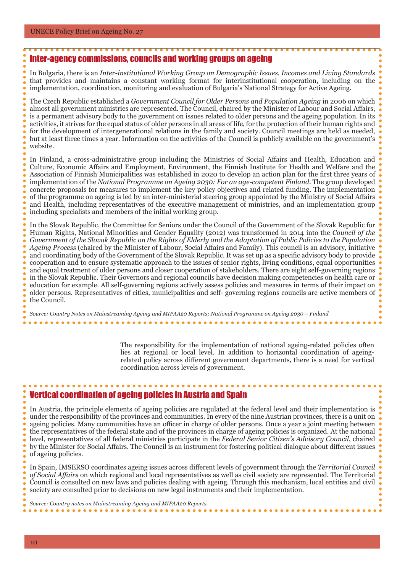#### Inter-agency commissions, councils and working groups on ageing In Bulgaria, there is an *Inter-institutional Working Group on Demographic Issues, Incomes and Living Standards* that provides and maintains a constant working format for interinstitutional cooperation, including on the implementation, coordination, monitoring and evaluation of Bulgaria's National Strategy for Active Ageing. The Czech Republic established a *Government Council for Older Persons and Population Ageing* in 2006 on which almost all government ministries are represented. The Council, chaired by the Minister of Labour and Social Affairs, is a permanent advisory body to the government on issues related to older persons and the ageing population. In its activities, it strives for the equal status of older persons in all areas of life, for the protection of their human rights and for the development of intergenerational relations in the family and society. Council meetings are held as needed, but at least three times a year. Information on the activities of the Council is publicly available on the government's website. In Finland, a cross-administrative group including the Ministries of Social Affairs and Health, Education and Culture, Economic Affairs and Employment, Environment, the Finnish Institute for Health and Welfare and the Association of Finnish Municipalities was established in 2020 to develop an action plan for the first three years of implementation of the *National Programme on Ageing 2030: For an age-competent Finland*. The group developed concrete proposals for measures to implement the key policy objectives and related funding. The implementation of the programme on ageing is led by an inter-ministerial steering group appointed by the Ministry of Social Affairs and Health, including representatives of the executive management of ministries, and an implementation group including specialists and members of the initial working group. In the Slovak Republic, the Committee for Seniors under the Council of the Government of the Slovak Republic for Human Rights, National Minorities and Gender Equality (2012) was transformed in 2014 into the *Council of the Government of the Slovak Republic on the Rights of Elderly and the Adaptation of Public Policies to the Population Ageing Process* (chaired by the Minister of Labour, Social Affairs and Family). This council is an advisory, initiative and coordinating body of the Government of the Slovak Republic. It was set up as a specific advisory body to provide cooperation and to ensure systematic approach to the issues of senior rights, living conditions, equal opportunities and equal treatment of older persons and closer cooperation of stakeholders. There are eight self-governing regions in the Slovak Republic. Their Governors and regional councils have decision making competencies on health care or education for example. All self-governing regions actively assess policies and measures in terms of their impact on

older persons. Representatives of cities, municipalities and self- governing regions councils are active members of the Council.

*Source: Country Notes on Mainstreaming Ageing and MIPAA20 Reports; National Programme on Ageing 2030 – Finland*

The responsibility for the implementation of national ageing-related policies often lies at regional or local level. In addition to horizontal coordination of ageingrelated policy across different government departments, there is a need for vertical coordination across levels of government.

#### Vertical coordination of ageing policies in Austria and Spain

In Austria, the principle elements of ageing policies are regulated at the federal level and their implementation is under the responsibility of the provinces and communities. In every of the nine Austrian provinces, there is a unit on ageing policies. Many communities have an officer in charge of older persons. Once a year a joint meeting between the representatives of the federal state and of the provinces in charge of ageing policies is organized. At the national level, representatives of all federal ministries participate in the *Federal Senior Citizen's Advisory Council*, chaired by the Minister for Social Affairs. The Council is an instrument for fostering political dialogue about different issues of ageing policies.

In Spain, IMSERSO coordinates ageing issues across different levels of government through the *Territorial Council of Social Affairs* on which regional and local representatives as well as civil society are represented. The Territorial Council is consulted on new laws and policies dealing with ageing. Through this mechanism, local entities and civil society are consulted prior to decisions on new legal instruments and their implementation.

*Source: Country notes on Mainstreaming Ageing and MIPAA20 Reports.*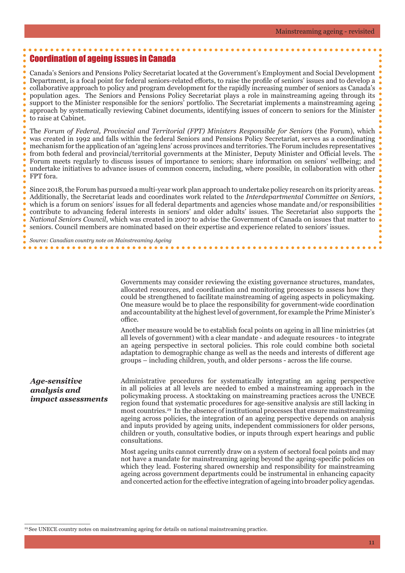#### Coordination of ageing issues in Canada

Canada's Seniors and Pensions Policy Secretariat located at the Government's Employment and Social Development Department, is a focal point for federal seniors-related efforts, to raise the profile of seniors' issues and to develop a collaborative approach to policy and program development for the rapidly increasing number of seniors as Canada's population ages. The Seniors and Pensions Policy Secretariat plays a role in mainstreaming ageing through its support to the Minister responsible for the seniors' portfolio. The Secretariat implements a mainstreaming ageing approach by systematically reviewing Cabinet documents, identifying issues of concern to seniors for the Minister to raise at Cabinet.

The *Forum of Federal, Provincial and Territorial (FPT) Ministers Responsible for Seniors* (the Forum), which was created in 1992 and falls within the federal Seniors and Pensions Policy Secretariat, serves as a coordinating mechanism for the application of an 'ageing lens' across provinces and territories. The Forum includes representatives from both federal and provincial/territorial governments at the Minister, Deputy Minister and Official levels. The Forum meets regularly to discuss issues of importance to seniors; share information on seniors' wellbeing; and undertake initiatives to advance issues of common concern, including, where possible, in collaboration with other FPT fora.

Since 2018, the Forum has pursued a multi-year work plan approach to undertake policy research on its priority areas. Additionally, the Secretariat leads and coordinates work related to the *Interdepartmental Committee on Seniors*, which is a forum on seniors' issues for all federal departments and agencies whose mandate and/or responsibilities contribute to advancing federal interests in seniors' and older adults' issues. The Secretariat also supports the *National Seniors Council*, which was created in 2007 to advise the Government of Canada on issues that matter to seniors. Council members are nominated based on their expertise and experience related to seniors' issues.

*Source: Canadian country note on Mainstreaming Ageing* 

> Governments may consider reviewing the existing governance structures, mandates, allocated resources, and coordination and monitoring processes to assess how they could be strengthened to facilitate mainstreaming of ageing aspects in policymaking. One measure would be to place the responsibility for government-wide coordination and accountability at the highest level of government, for example the Prime Minister's office.

> Another measure would be to establish focal points on ageing in all line ministries (at all levels of government) with a clear mandate - and adequate resources - to integrate an ageing perspective in sectoral policies. This role could combine both societal adaptation to demographic change as well as the needs and interests of different age groups – including children, youth, and older persons - across the life course.

#### *Age-sensitive analysis and impact assessments*

\_\_\_\_\_\_\_\_\_\_\_\_\_\_\_

Administrative procedures for systematically integrating an ageing perspective in all policies at all levels are needed to embed a mainstreaming approach in the policymaking process. A stocktaking on mainstreaming practices across the UNECE region found that systematic procedures for age-sensitive analysis are still lacking in most countries.29 In the absence of institutional processes that ensure mainstreaming ageing across policies, the integration of an ageing perspective depends on analysis and inputs provided by ageing units, independent commissioners for older persons, children or youth, consultative bodies, or inputs through expert hearings and public consultations.

Most ageing units cannot currently draw on a system of sectoral focal points and may not have a mandate for mainstreaming ageing beyond the ageing-specific policies on which they lead. Fostering shared ownership and responsibility for mainstreaming ageing across government departments could be instrumental in enhancing capacity and concerted action for the effective integration of ageing into broader policy agendas.

<sup>29</sup> See UNECE country notes on mainstreaming ageing for details on national mainstreaming practice.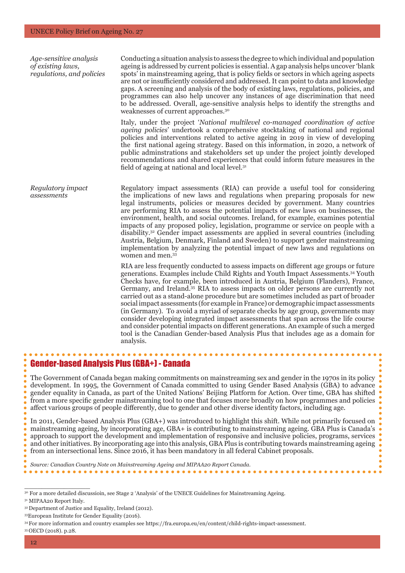*Age-sensitive analysis of existing laws, regulations, and policies*

*assessments* 

Conducting a situation analysis to assess the degree to which individual and population ageing is addressed by current policies is essential. A gap analysis helps uncover 'blank spots' in mainstreaming ageing, that is policy fields or sectors in which ageing aspects are not or insufficiently considered and addressed. It can point to data and knowledge gaps. A screening and analysis of the body of existing laws, regulations, policies, and programmes can also help uncover any instances of age discrimination that need to be addressed. Overall, age-sensitive analysis helps to identify the strengths and weaknesses of current approaches.30

Italy, under the project '*National multilevel co-managed coordination of active ageing policies*' undertook a comprehensive stocktaking of national and regional policies and interventions related to active ageing in 2019 in view of developing the first national ageing strategy. Based on this information, in 2020, a network of public adminstrations and stakeholders set up under the project jointly developed recommendations and shared experiences that could inform future measures in the field of ageing at national and local level.<sup>31</sup>

*Regulatory impact*  Regulatory impact assessments (RIA) can provide a useful tool for considering the implications of new laws and regulations when preparing proposals for new legal instruments, policies or measures decided by government. Many countries are performing RIA to assess the potential impacts of new laws on businesses, the environment, health, and social outcomes. Ireland, for example, examines potential impacts of any proposed policy, legislation, programme or service on people with a disability.32 Gender impact assessments are applied in several countries (including Austria, Belgium, Denmark, Finland and Sweden) to support gender mainstreaming implementation by analyzing the potential impact of new laws and regulations on women and men.33

> RIA are less frequently conducted to assess impacts on different age groups or future generations. Examples include Child Rights and Youth Impact Assessments.34 Youth Checks have, for example, been introduced in Austria, Belgium (Flanders), France, Germany, and Ireland.35 RIA to assess impacts on older persons are currently not carried out as a stand-alone procedure but are sometimes included as part of broader social impact assessments (for example in France) or demographic impact assessments (in Germany). To avoid a myriad of separate checks by age group, governments may consider developing integrated impact assessments that span across the life course and consider potential impacts on different generations. An example of such a merged tool is the Canadian Gender-based Analysis Plus that includes age as a domain for analysis.

#### Gender-based Analysis Plus (GBA+) - Canada

The Government of Canada began making commitments on mainstreaming sex and gender in the 1970s in its policy development. In 1995, the Government of Canada committed to using Gender Based Analysis (GBA) to advance gender equality in Canada, as part of the United Nations' Beijing Platform for Action. Over time, GBA has shifted from a more specific gender mainstreaming tool to one that focuses more broadly on how programmes and policies affect various groups of people differently, due to gender and other diverse identity factors, including age.

In 2011, Gender-based Analysis Plus (GBA+) was introduced to highlight this shift. While not primarily focused on mainstreaming ageing, by incorporating age, GBA+ is contributing to mainstreaming ageing. GBA Plus is Canada's approach to support the development and implementation of responsive and inclusive policies, programs, services and other initiatives. By incorporating age into this analysis, GBA Plus is contributing towards mainstreaming ageing from an intersectional lens. Since 2016, it has been mandatory in all federal Cabinet proposals.

*Source: Canadian Country Note on Mainstreaming Ageing and MIPAA20 Report Canada.* 

<sup>30</sup> For a more detailed discussioin, see Stage 2 'Analysis' of the UNECE Guidelines for Mainstreaming Ageing.

<sup>&</sup>lt;sup>31</sup> MIPAA20 Report Italy.

<sup>32</sup> Department of Justice and Equality, Ireland (2012).

<sup>33</sup>European Institute for Gender Equality (2016).

<sup>34</sup> For more information and country examples see https://fra.europa.eu/en/content/child-rights-impact-assessment. 35 OECD (2018). p.28.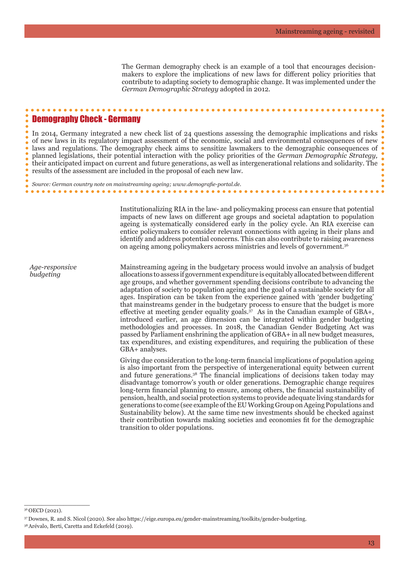The German demography check is an example of a tool that encourages decisionmakers to explore the implications of new laws for different policy priorities that contribute to adapting society to demographic change. It was implemented under the *German Demographic Strategy* adopted in 2012.

#### Demography Check - Germany

In 2014, Germany integrated a new check list of 24 questions assessing the demographic implications and risks of new laws in its regulatory impact assessment of the economic, social and environmental consequences of new laws and regulations. The demography check aims to sensitize lawmakers to the demographic consequences of planned legislations, their potential interaction with the policy priorities of the *German Demographic Strategy,* their anticipated impact on current and future generations, as well as intergenerational relations and solidarity. The results of the assessment are included in the proposal of each new law.

*Source: German country note on mainstreaming ageing; www.demografie-portal.de.*

Institutionalizing RIA in the law- and policymaking process can ensure that potential impacts of new laws on different age groups and societal adaptation to population ageing is systematically considered early in the policy cycle. An RIA exercise can entice policymakers to consider relevant connections with ageing in their plans and identify and address potential concerns. This can also contribute to raising awareness on ageing among policymakers across ministries and levels of government.36

*Age-responsive budgeting*

Mainstreaming ageing in the budgetary process would involve an analysis of budget allocations to assess if government expenditure is equitably allocated between different age groups, and whether government spending decisions contribute to advancing the adaptation of society to population ageing and the goal of a sustainable society for all ages. Inspiration can be taken from the experience gained with 'gender budgeting' that mainstreams gender in the budgetary process to ensure that the budget is more effective at meeting gender equality goals.<sup>37</sup> As in the Canadian example of GBA+, introduced earlier, an age dimension can be integrated within gender budgeting methodologies and processes. In 2018, the Canadian Gender Budgeting Act was passed by Parliament enshrining the application of GBA+ in all new budget measures, tax expenditures, and existing expenditures, and requiring the publication of these GBA+ analyses.

Giving due consideration to the long-term financial implications of population ageing is also important from the perspective of intergenerational equity between current and future generations.38 The financial implications of decisions taken today may disadvantage tomorrow's youth or older generations. Demographic change requires long-term financial planning to ensure, among others, the financial sustainability of pension, health, and social protection systems to provide adequate living standards for generations to come (see example of the EU Working Group on Ageing Populations and Sustainability below). At the same time new investments should be checked against their contribution towards making societies and economies fit for the demographic transition to older populations.

 $\overline{\phantom{a}}$  , where  $\overline{\phantom{a}}$  , where  $\overline{\phantom{a}}$  , where  $\overline{\phantom{a}}$ 

<sup>36</sup> OECD (2021).

<sup>37</sup> Downes, R. and S. Nicol (2020). See also https://eige.europa.eu/gender-mainstreaming/toolkits/gender-budgeting.

<sup>38</sup> Arévalo, Berti, Caretta and Eckefeld (2019).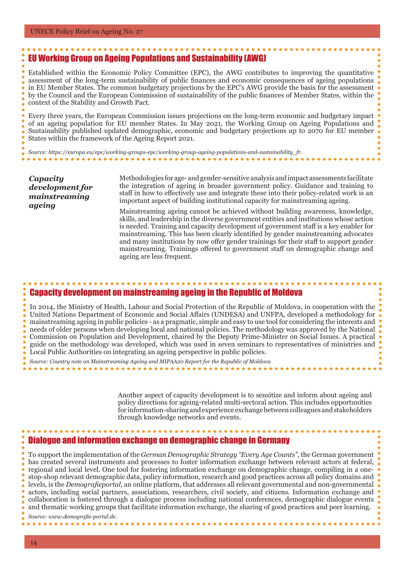#### EU Working Group on Ageing Populations and Sustainability (AWG)

Established within the Economic Policy Committee (EPC), the AWG contributes to improving the quantitative assessment of the long-term sustainability of public finances and economic consequences of ageing populations in EU Member States. The common budgetary projections by the EPC's AWG provide the basis for the assessment by the Council and the European Commission of sustainability of the public finances of Member States, within the context of the Stability and Growth Pact.

Every three years, the European Commission issues projections on the long-term economic and budgetary impact of an ageing population for EU member States. In May 2021, the Working Group on Ageing Populations and Sustainability published updated demographic, economic and budgetary projections up to 2070 for EU member States within the framework of the Ageing Report 2021.

*Source: https://europa.eu/epc/working-groups-epc/working-group-ageing-populations-and-sustainability\_fr.*

*Capacity development for mainstreaming ageing*

Methodologies for age- and gender-sensitive analysis and impact assessments facilitate the integration of ageing in broader government policy. Guidance and training to staff in how to effectively use and integrate these into their policy-related work is an important aspect of building institutional capacity for mainstreaming ageing.

Mainstreaming ageing cannot be achieved without building awareness, knowledge, skills, and leadership in the diverse government entities and institutions whose action is needed. Training and capacity development of government staff is a key enabler for mainstreaming. This has been clearly identified by gender mainstreaming advocates and many institutions by now offer gender trainings for their staff to support gender mainstreaming. Trainings offered to government staff on demographic change and ageing are less frequent.

#### Capacity development on mainstreaming ageing in the Republic of Moldova

In 2014, the Ministry of Health, Labour and Social Protection of the Republic of Moldova, in cooperation with the United Nations Department of Economic and Social Affairs (UNDESA) and UNFPA, developed a methodology for mainstreaming ageing in public policies - as a pragmatic, simple and easy to use tool for considering the interests and needs of older persons when developing local and national policies. The methodology was approved by the National Commission on Population and Development, chaired by the Deputy Prime-Minister on Social Issues. A practical guide on the methodology was developed, which was used in seven seminars to representatives of ministries and Local Public Authorities on integrating an ageing perspective in public policies.

*Source: Country note on Mainstreaming Ageing and MIPAA20 Report for the Republic of Moldova*

Another aspect of capacity development is to sensitize and inform about ageing and policy directions for ageing-related multi-sectoral action. This includes opportunities for information-sharing and experience exchange between colleagues and stakeholders through knowledge networks and events.

#### Dialogue and information exchange on demographic change in Germany

To support the implementation of the *German Demographic Strategy "Every Age Counts"*, the German government has created several instruments and processes to foster information exchange between relevant actors at federal, regional and local level. One tool for fostering information exchange on demographic change, compiling in a onestop-shop relevant demographic data, policy information, research and good practices across all policy domains and levels, is the *Demografieportal*, an online platform, that addresses all relevant governmental and non-governmental actors, including social partners, associations, researchers, civil society, and citizens. Information exchange and collaboration is fostered through a dialogue process including national conferences, demographic dialogue events and thematic working groups that facilitate information exchange, the sharing of good practices and peer learning.

*Source: www.demografie-portal.de.*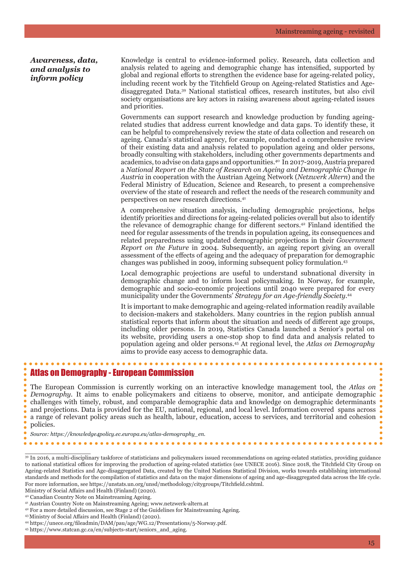#### *Awareness, data, and analysis to inform policy*

Knowledge is central to evidence-informed policy. Research, data collection and analysis related to ageing and demographic change has intensified, supported by global and regional efforts to strengthen the evidence base for ageing-related policy, including recent work by the Titchfield Group on Ageing-related Statistics and Agedisaggregated Data. <sup>39</sup> National statistical offices, research institutes, but also civil society organisations are key actors in raising awareness about ageing-related issues and priorities.

Governments can support research and knowledge production by funding ageingrelated studies that address current knowledge and data gaps. To identify these, it can be helpful to comprehensively review the state of data collection and research on ageing. Canada's statistical agency, for example, conducted a comprehensive review of their existing data and analysis related to population ageing and older persons, broadly consulting with stakeholders, including other governments departments and academics, to advise on data gaps and opportunities.40 In 2017-2019, Austria prepared a *National Report on the State of Research on Ageing and Demographic Change in Austria* in cooperation with the Austrian Ageing Network (*Netzwerk Altern*) and the Federal Ministry of Education, Science and Research, to present a comprehensive overview of the state of research and reflect the needs of the research community and perspectives on new research directions.41

A comprehensive situation analysis, including demographic projections, helps identify priorities and directions for ageing-related policies overall but also to identify the relevance of demographic change for different sectors.<sup>42</sup> Finland identified the need for regular assessments of the trends in population ageing, its consequences and related preparedness using updated demographic projections in their *Government Report on the Future* in 2004. Subsequently, an ageing report giving an overall assessment of the effects of ageing and the adequacy of preparation for demographic changes was published in 2009, informing subsequent policy formulation.43

Local demographic projections are useful to understand subnational diversity in demographic change and to inform local policymaking. In Norway, for example, demographic and socio-economic projections until 2040 were prepared for every municipality under the Governments' *Strategy for an Age-friendly Society.*<sup>44</sup>

It is important to make demographic and ageing-related information readily available to decision-makers and stakeholders. Many countries in the region publish annual statistical reports that inform about the situation and needs of different age groups, including older persons. In 2019, Statistics Canada launched a Senior's portal on its website, providing users a one-stop shop to find data and analysis related to population ageing and older persons.45 At regional level, the *Atlas on Demography* aims to provide easy access to demographic data.

#### Atlas on Demography - European Commission

The European Commission is currently working on an interactive knowledge management tool, the *Atlas on Demography.* It aims to enable policymakers and citizens to observe, monitor, and anticipate demographic • challenges with timely, robust, and comparable demographic data and knowledge on demographic determinants and projections. Data is provided for the EU, national, regional, and local level. Information covered spans across a range of relevant policy areas such as health, labour, education, access to services, and territorial and cohesion policies.

 $\overline{\phantom{a}}$  , where  $\overline{\phantom{a}}$  , where  $\overline{\phantom{a}}$  , where  $\overline{\phantom{a}}$ 

39 In 2016, a multi-disciplinary taskforce of statisticians and policymakers issued recommendations on ageing-related statistics, providing guidance to national statistical offices for improving the production of ageing-related statistics (see UNECE 2016). Since 2018, the Titchfield City Group on Ageing-related Statistics and Age-disaggregated Data, created by the United Nations Statistical Division, works towards establishing international standards and methods for the compilation of statistics and data on the major dimensions of ageing and age-disaggregated data across the life cycle. For more information, see https://unstats.un.org/unsd/methodology/citygroups/Titchfield.cshtml.

Ministry of Social Affairs and Health (Finland) (2020). 40 Canadian Country Note on Mainstreaming Ageing.

*Source: https://knowledge4policy.ec.europa.eu/atlas-demography\_en.*

<sup>41</sup> Austrian Country Note on Mainstreaming Ageing; www.netzwerk-altern.at

<sup>42</sup> For a more detailed discussion, see Stage 2 of the Guidelines for Mainstreaming Ageing.

<sup>43</sup>Ministry of Social Affairs and Health (Finland) (2020).

<sup>44</sup> https://unece.org/fileadmin/DAM/pau/age/WG.12/Presentations/5-Norway.pdf.

<sup>45</sup> https://www.statcan.gc.ca/en/subjects-start/seniors\_and\_aging.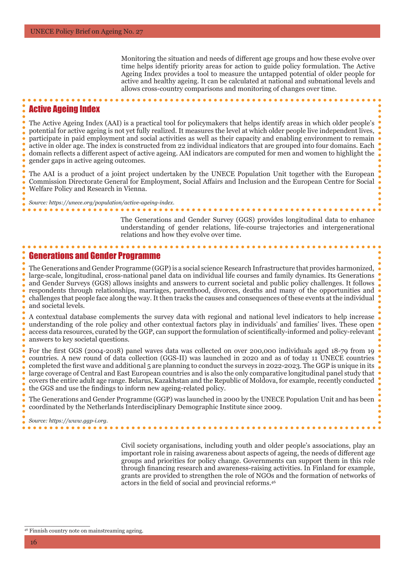Monitoring the situation and needs of different age groups and how these evolve over time helps identify priority areas for action to guide policy formulation. The Active Ageing Index provides a tool to measure the untapped potential of older people for active and healthy ageing. It can be calculated at national and subnational levels and allows cross-country comparisons and monitoring of changes over time.

#### Active Ageing Index

The Active Ageing Index (AAI) is a practical tool for policymakers that helps identify areas in which older people's potential for active ageing is not yet fully realized. It measures the level at which older people live independent lives, participate in paid employment and social activities as well as their capacity and enabling environment to remain active in older age. The index is constructed from 22 individual indicators that are grouped into four domains. Each domain reflects a different aspect of active ageing. AAI indicators are computed for men and women to highlight the gender gaps in active ageing outcomes.

The AAI is a product of a joint project undertaken by the UNECE Population Unit together with the European Commission Directorate General for Employment, Social Affairs and Inclusion and the European Centre for Social Welfare Policy and Research in Vienna.

> The Generations and Gender Survey (GGS) provides longitudinal data to enhance understanding of gender relations, life-course trajectories and intergenerational relations and how they evolve over time.

#### Generations and Gender Programme

*Source: https://unece.org/population/active-ageing-index.*

. . . . . . . . . . . . . . . . . .

The Generations and Gender Programme (GGP) is a social science Research Infrastructure that provides harmonized, large-scale, longitudinal, cross-national panel data on individual life courses and family dynamics. Its Generations and Gender Surveys (GGS) allows insights and answers to current societal and public policy challenges. It follows respondents through relationships, marriages, parenthood, divorces, deaths and many of the opportunities and challenges that people face along the way. It then tracks the causes and consequences of these events at the individual and societal levels.

A contextual database complements the survey data with regional and national level indicators to help increase understanding of the role policy and other contextual factors play in individuals' and families' lives. These open access data resources, curated by the GGP, can support the formulation of scientifically-informed and policy-relevant answers to key societal questions.

For the first GGS (2004-2018) panel waves data was collected on over 200,000 individuals aged 18-79 from 19 countries. A new round of data collection (GGS-II) was launched in 2020 and as of today 11 UNECE countries completed the first wave and additional 5 are planning to conduct the surveys in 2022-2023. The GGP is unique in its large coverage of Central and East European countries and is also the only comparative longitudinal panel study that covers the entire adult age range. Belarus, Kazakhstan and the Republic of Moldova, for example, recently conducted the GGS and use the findings to inform new ageing-related policy.

The Generations and Gender Programme (GGP) was launched in 2000 by the UNECE Population Unit and has been coordinated by the Netherlands Interdisciplinary Demographic Institute since 2009.

*Source: https://www.ggp-i.org.*

Civil society organisations, including youth and older people's associations, play an important role in raising awareness about aspects of ageing, the needs of different age groups and priorities for policy change. Governments can support them in this role through financing research and awareness-raising activities. In Finland for example, grants are provided to strengthen the role of NGOs and the formation of networks of actors in the field of social and provincial reforms.<sup>46</sup>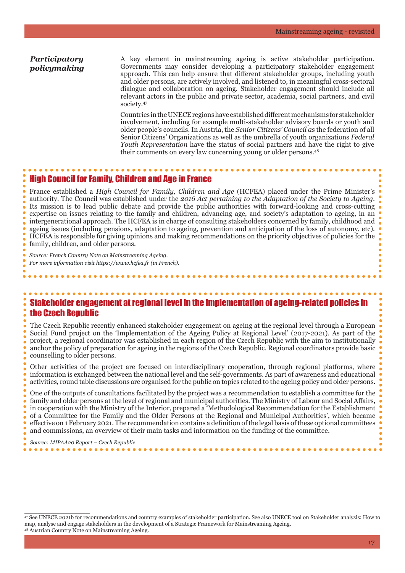#### *Participatory policymaking*

A key element in mainstreaming ageing is active stakeholder participation. Governments may consider developing a participatory stakeholder engagement approach. This can help ensure that different stakeholder groups, including youth and older persons, are actively involved, and listened to, in meaningful cross-sectoral dialogue and collaboration on ageing. Stakeholder engagement should include all relevant actors in the public and private sector, academia, social partners, and civil society.47

Countries in the UNECE regions have established different mechanisms for stakeholder involvement, including for example multi-stakeholder advisory boards or youth and older people's councils. In Austria, the *Senior Citizens' Council a*s the federation of all Senior Citizens' Organizations as well as the umbrella of youth organizations *Federal Youth Representation* have the status of social partners and have the right to give their comments on every law concerning young or older persons.48

#### High Council for Family, Children and Age in France

France established a *High Council for Family, Children and Age* (HCFEA) placed under the Prime Minister's authority. The Council was established under the *2016 Act pertaining to the Adaptation of the Society to Ageing.*  Its mission is to lead public debate and provide the public authorities with forward-looking and cross-cutting expertise on issues relating to the family and children, advancing age, and society's adaptation to ageing, in an intergenerational approach. The HCFEA is in charge of consulting stakeholders concerned by family, childhood and ageing issues (including pensions, adaptation to ageing, prevention and anticipation of the loss of autonomy, etc). HCFEA is responsible for giving opinions and making recommendations on the priority objectives of policies for the family, children, and older persons.

*Source: French Country Note on Mainstreaming Ageing. For more information visit https://www.hcfea.fr (in French).*

### Stakeholder engagement at regional level in the implementation of ageing-related policies in the Czech Republic

The Czech Republic recently enhanced stakeholder engagement on ageing at the regional level through a European Social Fund project on the 'Implementation of the Ageing Policy at Regional Level' (2017-2021). As part of the project, a regional coordinator was established in each region of the Czech Republic with the aim to institutionally anchor the policy of preparation for ageing in the regions of the Czech Republic. Regional coordinators provide basic counselling to older persons.

Other activities of the project are focused on interdisciplinary cooperation, through regional platforms, where information is exchanged between the national level and the self-governments. As part of awareness and educational activities, round table discussions are organised for the public on topics related to the ageing policy and older persons.

One of the outputs of consultations facilitated by the project was a recommendation to establish a committee for the family and older persons at the level of regional and municipal authorities. The Ministry of Labour and Social Affairs, in cooperation with the Ministry of the Interior, prepared a 'Methodological Recommendation for the Establishment of a Committee for the Family and the Older Persons at the Regional and Municipal Authorities', which became effective on 1 February 2021. The recommendation contains a definition of the legal basis of these optional committees and commissions, an overview of their main tasks and information on the funding of the committee.

*Source: MIPAA20 Report – Czech Republic*

 $\overline{\phantom{a}}$  , where  $\overline{\phantom{a}}$  , where  $\overline{\phantom{a}}$  , where  $\overline{\phantom{a}}$ 

47 See UNECE 2021b for recommendations and country examples of stakeholder participation. See also UNECE tool on Stakeholder analysis: How to map, analyse and engage stakeholders in the development of a Strategic Framework for Mainstreaming Ageing. 48 Austrian Country Note on Mainstreaming Ageing.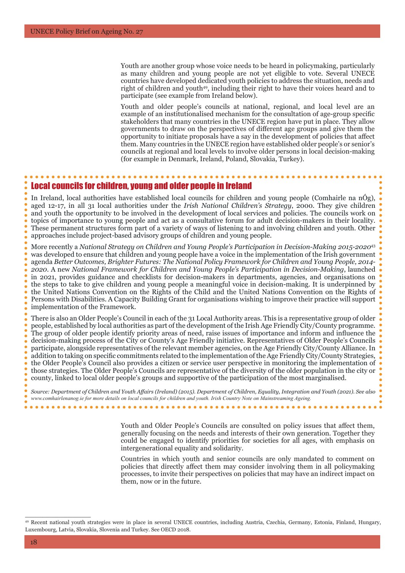Youth are another group whose voice needs to be heard in policymaking, particularly as many children and young people are not yet eligible to vote. Several UNECE countries have developed dedicated youth policies to address the situation, needs and right of children and youth<sup>49</sup>, including their right to have their voices heard and to participate (see example from Ireland below).

Youth and older people's councils at national, regional, and local level are an example of an institutionalised mechanism for the consultation of age-group specific stakeholders that many countries in the UNECE region have put in place. They allow governments to draw on the perspectives of different age groups and give them the opportunity to initiate proposals have a say in the development of policies that affect them. Many countries in the UNECE region have established older people's or senior's councils at regional and local levels to involve older persons in local decision-making (for example in Denmark, Ireland, Poland, Slovakia, Turkey).

#### Local councils for children, young and older people in Ireland

In Ireland, local authorities have established local councils for children and young people (Comhairle na nÓg), aged 12-17, in all 31 local authorities under the *Irish National Children's Strategy*, 2000. They give children and youth the opportunity to be involved in the development of local services and policies. The councils work on topics of importance to young people and act as a consultative forum for adult decision-makers in their locality. These permanent structures form part of a variety of ways of listening to and involving children and youth. Other approaches include project-based advisory groups of children and young people.

More recently a *National Strategy on Children and Young People's Participation in Decision-Making 2015-2020*<sup>43</sup> was developed to ensure that children and young people have a voice in the implementation of the Irish government agenda *Better Outcomes, Brighter Futures: The National Policy Framework for Children and Young People, 2014- 2020*. A new *National Framework for Children and Young People's Participation in Decision-Making*, launched in 2021, provides guidance and checklists for decision-makers in departments, agencies, and organisations on the steps to take to give children and young people a meaningful voice in decision-making. It is underpinned by the United Nations Convention on the Rights of the Child and the United Nations Convention on the Rights of Persons with Disabilities. A Capacity Building Grant for organisations wishing to improve their practice will support implementation of the Framework.

There is also an Older People's Council in each of the 31 Local Authority areas. This is a representative group of older people, established by local authorities as part of the development of the Irish Age Friendly City/County programme. The group of older people identify priority areas of need, raise issues of importance and inform and influence the decision-making process of the City or County's Age Friendly initiative. Representatives of Older People's Councils participate, alongside representatives of the relevant member agencies, on the Age Friendly City/County Alliance. In addition to taking on specific commitments related to the implementation of the Age Friendly City/County Strategies, the Older People's Council also provides a citizen or service user perspective in monitoring the implementation of those strategies. The Older People's Councils are representative of the diversity of the older population in the city or county, linked to local older people's groups and supportive of the participation of the most marginalised.

*Source: Department of Children and Youth Affairs (Ireland) (2015). Department of Children, Equality, Integration and Youth (2021). See also www.comhairlenanog.ie for more details on local councils for children and youth. Irish Country Note on Mainstreaming Ageing.*

Youth and Older People's Councils are consulted on policy issues that affect them, generally focusing on the needs and interests of their own generation. Together they could be engaged to identify priorities for societies for all ages, with emphasis on intergenerational equality and solidarity.

Countries in which youth and senior councils are only mandated to comment on policies that directly affect them may consider involving them in all policymaking processes, to invite their perspectives on policies that may have an indirect impact on them, now or in the future.

<sup>49</sup> Recent national youth strategies were in place in several UNECE countries, including Austria, Czechia, Germany, Estonia, Finland, Hungary, Luxembourg, Latvia, Slovakia, Slovenia and Turkey. See OECD 2018.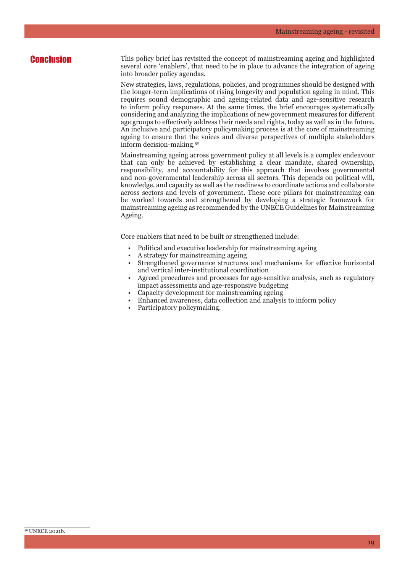**Conclusion** This policy brief has revisited the concept of mainstreaming ageing and highlighted several core 'enablers', that need to be in place to advance the integration of ageing into broader policy agendas.

> New strategies, laws, regulations, policies, and programmes should be designed with the longer-term implications of rising longevity and population ageing in mind. This requires sound demographic and ageing-related data and age-sensitive research to inform policy responses. At the same times, the brief encourages systematically considering and analyzing the implications of new government measures for different age groups to effectively address their needs and rights, today as well as in the future. An inclusive and participatory policymaking process is at the core of mainstreaming ageing to ensure that the voices and diverse perspectives of multiple stakeholders inform decision-making.50

> Mainstreaming ageing across government policy at all levels is a complex endeavour that can only be achieved by establishing a clear mandate, shared ownership, responsibility, and accountability for this approach that involves governmental and non-governmental leadership across all sectors. This depends on political will, knowledge, and capacity as well as the readiness to coordinate actions and collaborate across sectors and levels of government. These core pillars for mainstreaming can be worked towards and strengthened by developing a strategic framework for mainstreaming ageing as recommended by the UNECE Guidelines for Mainstreaming Ageing.

Core enablers that need to be built or strengthened include:

- Political and executive leadership for mainstreaming ageing
- A strategy for mainstreaming ageing
- Strengthened governance structures and mechanisms for effective horizontal and vertical inter-institutional coordination
- Agreed procedures and processes for age-sensitive analysis, such as regulatory impact assessments and age-responsive budgeting
- Capacity development for mainstreaming ageing
- Enhanced awareness, data collection and analysis to inform policy
- Participatory policymaking.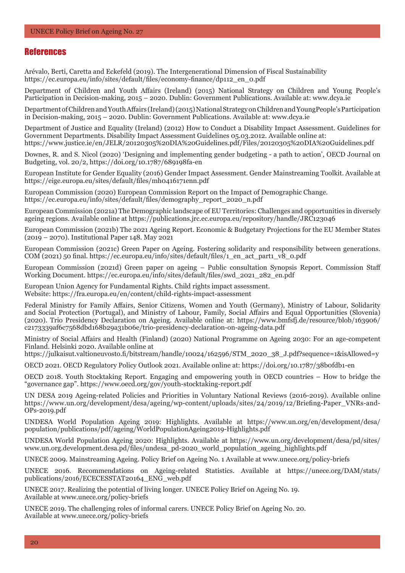#### **References**

Arévalo, Berti, Caretta and Eckefeld (2019). The Intergenerational Dimension of Fiscal Sustainability https://ec.europa.eu/info/sites/default/files/economy-finance/dp112\_en\_0.pdf

Department of Children and Youth Affairs (Ireland) (2015) National Strategy on Children and Young People's Participation in Decision-making, 2015 – 2020. Dublin: Government Publications. Available at: www.dcya.ie

Department of Children and Youth Affairs (Ireland) (2015) National Strategy on Children and YoungPeople's Participation in Decision-making, 2015 – 2020. Dublin: Government Publications. Available at: www.dcya.ie

Department of Justice and Equality (Ireland) (2012) How to Conduct a Disability Impact Assessment. Guidelines for Government Departments. Disability Impact Assessment Guidelines 05.03.2012. Available online at: https://www.justice.ie/en/JELR/20120305%20DIA%20Guidelines.pdf/Files/20120305%20DIA%20Guidelines.pdf

Downes, R. and S. Nicol (2020) 'Designing and implementing gender budgeting - a path to action', OECD Journal on Budgeting, vol. 20/2, https://doi.org/10.1787/689198fa-en

European Institute for Gender Equality (2016) Gender Impact Assessment. Gender Mainstreaming Toolkit. Available at https://eige.europa.eu/sites/default/files/mh0416171enn.pdf

European Commission (2020) European Commission Report on the Impact of Demographic Change. https://ec.europa.eu/info/sites/default/files/demography\_report\_2020\_n.pdf

European Commission (2021a) The Demographic landscape of EU Territories: Challenges and opportunities in diversely ageing regions. Available online at https://publications.jrc.ec.europa.eu/repository/handle/JRC123046

European Commission (2021b) The 2021 Ageing Report. Economic & Budgetary Projections for the EU Member States (2019 – 2070). Institutional Paper 148. May 2021

European Commission (2021c) Green Paper on Ageing. Fostering solidarity and responsibility between generations. COM (2021) 50 final. https://ec.europa.eu/info/sites/default/files/1\_en\_act\_part1\_v8\_0.pdf

European Commission (2021d) Green paper on ageing – Public consultation Synopsis Report. Commission Staff Working Document. https://ec.europa.eu/info/sites/default/files/swd\_2021\_282\_en.pdf

European Union Agency for Fundamental Rights. Child rights impact assessment. Website: https://fra.europa.eu/en/content/child-rights-impact-assessment

Federal Ministry for Family Affairs, Senior Citizens, Women and Youth (Germany), Ministry of Labour, Solidarity and Social Protection (Portugal), and Ministry of Labour, Family, Social Affairs and Equal Opportunities (Slovenia) (2020). Trio Presidency Declaration on Ageing. Available online at: https://www.bmfsfj.de/resource/blob/163906/ c2173339af6c7568dbd168b29a31b06e/trio-presidency-declaration-on-ageing-data.pdf

Ministry of Social Affairs and Health (Finland) (2020) National Programme on Ageing 2030: For an age-competent Finland. Helsinki 2020. Available online at

https://julkaisut.valtioneuvosto.fi/bitstream/handle/10024/162596/STM\_2020\_38\_J.pdf?sequence=1&isAllowed=y

OECD 2021. OECD Regulatory Policy Outlook 2021. Available online at: https://doi.org/10.1787/38b0fdb1-en

OECD 2018. Youth Stocktaking Report. Engaging and empowering youth in OECD countries – How to bridge the "governance gap". https://www.oecd.org/gov/youth-stocktaking-report.pdf

UN DESA 2019 Ageing-related Policies and Priorities in Voluntary National Reviews (2016-2019). Available online https://www.un.org/development/desa/ageing/wp-content/uploads/sites/24/2019/12/Briefing-Paper\_VNRs-and-OPs-2019.pdf

UNDESA World Population Ageing 2019: Highlights. Available at https://www.un.org/en/development/desa/ population/publications/pdf/ageing/WorldPopulationAgeing2019-Highlights.pdf

UNDESA World Population Ageing 2020: Highlights. Available at https://www.un.org/development/desa/pd/sites/ www.un.org.development.desa.pd/files/undesa\_pd-2020\_world\_population\_ageing\_highlights.pdf

UNECE 2009. Mainstreaming Ageing. Policy Brief on Ageing No. 1 Available at www.unece.org/policy-briefs

UNECE 2016. Recommendations on Ageing-related Statistics. Available at https://unece.org/DAM/stats/ publications/2016/ECECESSTAT20164\_ENG\_web.pdf

UNECE 2017. Realizing the potential of living longer. UNECE Policy Brief on Ageing No. 19. Available at www.unece.org/policy-briefs

UNECE 2019. The challenging roles of informal carers. UNECE Policy Brief on Ageing No. 20. Available at www.unece.org/policy-briefs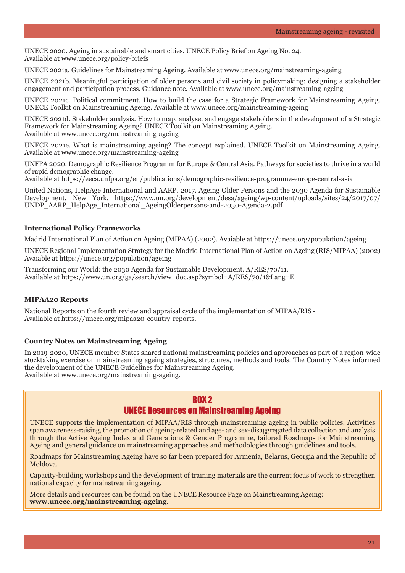UNECE 2020. Ageing in sustainable and smart cities. UNECE Policy Brief on Ageing No. 24. Available at www.unece.org/policy-briefs

UNECE 2021a. Guidelines for Mainstreaming Ageing. Available at www.unece.org/mainstreaming-ageing

UNECE 2021b. Meaningful participation of older persons and civil society in policymaking: designing a stakeholder engagement and participation process. Guidance note. Available at www.unece.org/mainstreaming-ageing

UNECE 2021c. Political commitment. How to build the case for a Strategic Framework for Mainstreaming Ageing. UNECE Toolkit on Mainstreaming Ageing. Available at www.unece.org/mainstreaming-ageing

UNECE 2021d. Stakeholder analysis. How to map, analyse, and engage stakeholders in the development of a Strategic Framework for Mainstreaming Ageing? UNECE Toolkit on Mainstreaming Ageing. Available at www.unece.org/mainstreaming-ageing

UNECE 2021e. What is mainstreaming ageing? The concept explained. UNECE Toolkit on Mainstreaming Ageing. Available at www.unece.org/mainstreaming-ageing

UNFPA 2020. Demographic Resilience Programm for Europe & Central Asia. Pathways for societies to thrive in a world of rapid demographic change.

Available at https://eeca.unfpa.org/en/publications/demographic-resilience-programme-europe-central-asia

United Nations, HelpAge International and AARP. 2017. Ageing Older Persons and the 2030 Agenda for Sustainable Development, New York. https://www.un.org/development/desa/ageing/wp-content/uploads/sites/24/2017/07/ UNDP\_AARP\_HelpAge\_International\_AgeingOlderpersons-and-2030-Agenda-2.pdf

#### **International Policy Frameworks**

Madrid International Plan of Action on Ageing (MIPAA) (2002). Avaiable at https://unece.org/population/ageing

UNECE Regional Implementation Strategy for the Madrid International Plan of Action on Ageing (RIS/MIPAA) (2002) Avaiable at https://unece.org/population/ageing

Transforming our World: the 2030 Agenda for Sustainable Development. A/RES/70/11. Available at https://www.un.org/ga/search/view\_doc.asp?symbol=A/RES/70/1&Lang=E

#### **MIPAA20 Reports**

National Reports on the fourth review and appraisal cycle of the implementation of MIPAA/RIS - Available at https://unece.org/mipaa20-country-reports.

#### **Country Notes on Mainstreaming Ageing**

In 2019-2020, UNECE member States shared national mainstreaming policies and approaches as part of a region-wide stocktaking exercise on mainstreaming ageing strategies, structures, methods and tools. The Country Notes informed the development of the UNECE Guidelines for Mainstreaming Ageing. Available at www.unece.org/mainstreaming-ageing.

#### RNX<sub>2</sub>

#### UNECE Resources on Mainstreaming Ageing

UNECE supports the implementation of MIPAA/RIS through mainstreaming ageing in public policies. Activities span awareness-raising, the promotion of ageing-related and age- and sex-disaggregated data collection and analysis through the Active Ageing Index and Generations & Gender Programme, tailored Roadmaps for Mainstreaming Ageing and general guidance on mainstreaming approaches and methodologies through guidelines and tools.

Roadmaps for Mainstreaming Ageing have so far been prepared for Armenia, Belarus, Georgia and the Republic of Moldova.

Capacity-building workshops and the development of training materials are the current focus of work to strengthen national capacity for mainstreaming ageing.

More details and resources can be found on the UNECE Resource Page on Mainstreaming Ageing: **www.unece.org/mainstreaming-ageing**.